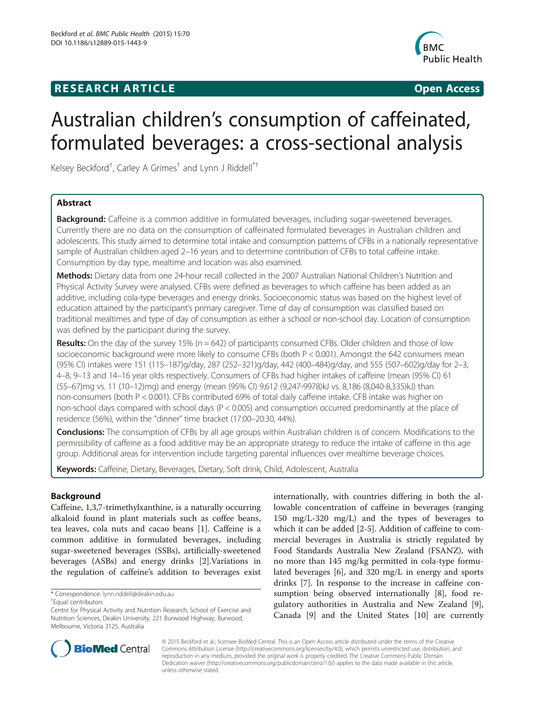## **RESEARCH ARTICLE Example 2018 12:00 Department of the Contract Open Access**



# Australian children's consumption of caffeinated, formulated beverages: a cross-sectional analysis

Kelsey Beckford<sup>†</sup>, Carley A Grimes<sup>†</sup> and Lynn J Riddell<sup>\*†</sup>

## Abstract

Background: Caffeine is a common additive in formulated beverages, including sugar-sweetened beverages. Currently there are no data on the consumption of caffeinated formulated beverages in Australian children and adolescents. This study aimed to determine total intake and consumption patterns of CFBs in a nationally representative sample of Australian children aged 2–16 years and to determine contribution of CFBs to total caffeine intake. Consumption by day type, mealtime and location was also examined.

Methods: Dietary data from one 24-hour recall collected in the 2007 Australian National Children's Nutrition and Physical Activity Survey were analysed. CFBs were defined as beverages to which caffeine has been added as an additive, including cola-type beverages and energy drinks. Socioeconomic status was based on the highest level of education attained by the participant's primary caregiver. Time of day of consumption was classified based on traditional mealtimes and type of day of consumption as either a school or non-school day. Location of consumption was defined by the participant during the survey.

**Results:** On the day of the survey 15% ( $n = 642$ ) of participants consumed CFBs. Older children and those of low socioeconomic background were more likely to consume CFBs (both P < 0.001). Amongst the 642 consumers mean (95% CI) intakes were 151 (115–187)g/day, 287 (252–321)g/day, 442 (400–484)g/day, and 555 (507–602)g/day for 2–3, 4–8, 9–13 and 14–16 year olds respectively. Consumers of CFBs had higher intakes of caffeine (mean (95% CI) 61 (55–67)mg vs. 11 (10–12)mg) and energy (mean (95% CI) 9,612 (9,247-9978)kJ vs. 8,186 (8,040-8,335)kJ) than non-consumers (both P < 0.001). CFBs contributed 69% of total daily caffeine intake. CFB intake was higher on non-school days compared with school days (P < 0.005) and consumption occurred predominantly at the place of residence (56%), within the "dinner" time bracket (17:00–20:30, 44%).

**Conclusions:** The consumption of CFBs by all age groups within Australian children is of concern. Modifications to the permissibility of caffeine as a food additive may be an appropriate strategy to reduce the intake of caffeine in this age group. Additional areas for intervention include targeting parental influences over mealtime beverage choices.

Keywords: Caffeine, Dietary, Beverages, Dietary, Soft drink, Child, Adolescent, Australia

## Background

Caffeine, 1,3,7-trimethylxanthine, is a naturally occurring alkaloid found in plant materials such as coffee beans, tea leaves, cola nuts and cacao beans [\[1](#page-8-0)]. Caffeine is a common additive in formulated beverages, including sugar-sweetened beverages (SSBs), artificially-sweetened beverages (ASBs) and energy drinks [\[2](#page-8-0)].Variations in the regulation of caffeine's addition to beverages exist

\* Correspondence: [lynn.riddell@deakin.edu.au](mailto:lynn.riddell@deakin.edu.au) †

Equal contributors

internationally, with countries differing in both the allowable concentration of caffeine in beverages (ranging 150 mg/L-320 mg/L) and the types of beverages to which it can be added [[2](#page-8-0)-[5\]](#page-8-0). Addition of caffeine to commercial beverages in Australia is strictly regulated by Food Standards Australia New Zealand (FSANZ), with no more than 145 mg/kg permitted in cola-type formulated beverages [[6\]](#page-8-0), and 320 mg/L in energy and sports drinks [[7\]](#page-8-0). In response to the increase in caffeine consumption being observed internationally [\[8\]](#page-8-0), food regulatory authorities in Australia and New Zealand [\[9](#page-8-0)], Canada [\[9](#page-8-0)] and the United States [\[10](#page-8-0)] are currently



© 2015 Beckford et al.; licensee BioMed Central. This is an Open Access article distributed under the terms of the Creative Commons Attribution License [\(http://creativecommons.org/licenses/by/4.0\)](http://creativecommons.org/licenses/by/4.0), which permits unrestricted use, distribution, and reproduction in any medium, provided the original work is properly credited. The Creative Commons Public Domain Dedication waiver [\(http://creativecommons.org/publicdomain/zero/1.0/](http://creativecommons.org/publicdomain/zero/1.0/)) applies to the data made available in this article, unless otherwise stated.

Centre for Physical Activity and Nutrition Research, School of Exercise and Nutrition Sciences, Deakin University, 221 Burwood Highway, Burwood, Melbourne, Victoria 3125, Australia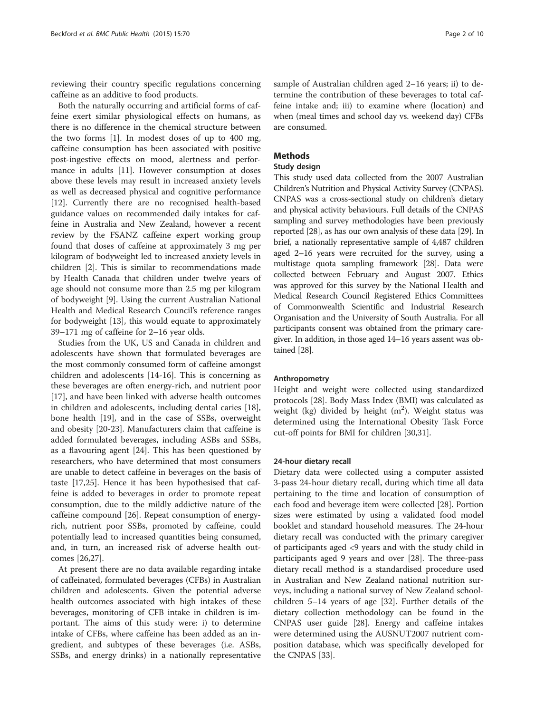reviewing their country specific regulations concerning caffeine as an additive to food products.

Both the naturally occurring and artificial forms of caffeine exert similar physiological effects on humans, as there is no difference in the chemical structure between the two forms [\[1](#page-8-0)]. In modest doses of up to 400 mg, caffeine consumption has been associated with positive post-ingestive effects on mood, alertness and performance in adults [[11](#page-8-0)]. However consumption at doses above these levels may result in increased anxiety levels as well as decreased physical and cognitive performance [[12\]](#page-8-0). Currently there are no recognised health-based guidance values on recommended daily intakes for caffeine in Australia and New Zealand, however a recent review by the FSANZ caffeine expert working group found that doses of caffeine at approximately 3 mg per kilogram of bodyweight led to increased anxiety levels in children [[2\]](#page-8-0). This is similar to recommendations made by Health Canada that children under twelve years of age should not consume more than 2.5 mg per kilogram of bodyweight [\[9\]](#page-8-0). Using the current Australian National Health and Medical Research Council's reference ranges for bodyweight [\[13\]](#page-8-0), this would equate to approximately 39–171 mg of caffeine for 2–16 year olds.

Studies from the UK, US and Canada in children and adolescents have shown that formulated beverages are the most commonly consumed form of caffeine amongst children and adolescents [\[14](#page-8-0)-[16\]](#page-8-0). This is concerning as these beverages are often energy-rich, and nutrient poor [[17\]](#page-8-0), and have been linked with adverse health outcomes in children and adolescents, including dental caries [\[18](#page-8-0)], bone health [[19](#page-8-0)], and in the case of SSBs, overweight and obesity [[20](#page-8-0)[-23](#page-9-0)]. Manufacturers claim that caffeine is added formulated beverages, including ASBs and SSBs, as a flavouring agent [\[24\]](#page-9-0). This has been questioned by researchers, who have determined that most consumers are unable to detect caffeine in beverages on the basis of taste [\[17](#page-8-0)[,25](#page-9-0)]. Hence it has been hypothesised that caffeine is added to beverages in order to promote repeat consumption, due to the mildly addictive nature of the caffeine compound [[26\]](#page-9-0). Repeat consumption of energyrich, nutrient poor SSBs, promoted by caffeine, could potentially lead to increased quantities being consumed, and, in turn, an increased risk of adverse health outcomes [[26](#page-9-0),[27](#page-9-0)].

At present there are no data available regarding intake of caffeinated, formulated beverages (CFBs) in Australian children and adolescents. Given the potential adverse health outcomes associated with high intakes of these beverages, monitoring of CFB intake in children is important. The aims of this study were: i) to determine intake of CFBs, where caffeine has been added as an ingredient, and subtypes of these beverages (i.e. ASBs, SSBs, and energy drinks) in a nationally representative

sample of Australian children aged 2–16 years; ii) to determine the contribution of these beverages to total caffeine intake and; iii) to examine where (location) and when (meal times and school day vs. weekend day) CFBs are consumed.

## **Methods**

## Study design

This study used data collected from the 2007 Australian Children's Nutrition and Physical Activity Survey (CNPAS). CNPAS was a cross-sectional study on children's dietary and physical activity behaviours. Full details of the CNPAS sampling and survey methodologies have been previously reported [\[28\]](#page-9-0), as has our own analysis of these data [[29](#page-9-0)]. In brief, a nationally representative sample of 4,487 children aged 2–16 years were recruited for the survey, using a multistage quota sampling framework [\[28\]](#page-9-0). Data were collected between February and August 2007. Ethics was approved for this survey by the National Health and Medical Research Council Registered Ethics Committees of Commonwealth Scientific and Industrial Research Organisation and the University of South Australia. For all participants consent was obtained from the primary caregiver. In addition, in those aged 14–16 years assent was obtained [[28](#page-9-0)].

#### Anthropometry

Height and weight were collected using standardized protocols [[28\]](#page-9-0). Body Mass Index (BMI) was calculated as weight (kg) divided by height  $(m^2)$ . Weight status was determined using the International Obesity Task Force cut-off points for BMI for children [\[30,31\]](#page-9-0).

## 24-hour dietary recall

Dietary data were collected using a computer assisted 3-pass 24-hour dietary recall, during which time all data pertaining to the time and location of consumption of each food and beverage item were collected [[28\]](#page-9-0). Portion sizes were estimated by using a validated food model booklet and standard household measures. The 24-hour dietary recall was conducted with the primary caregiver of participants aged <9 years and with the study child in participants aged 9 years and over [\[28](#page-9-0)]. The three-pass dietary recall method is a standardised procedure used in Australian and New Zealand national nutrition surveys, including a national survey of New Zealand schoolchildren 5–14 years of age [\[32](#page-9-0)]. Further details of the dietary collection methodology can be found in the CNPAS user guide [\[28](#page-9-0)]. Energy and caffeine intakes were determined using the AUSNUT2007 nutrient composition database, which was specifically developed for the CNPAS [[33\]](#page-9-0).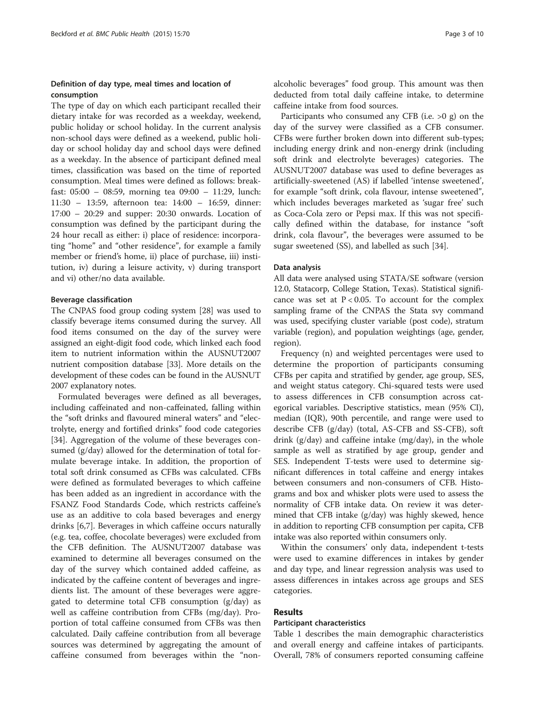## Definition of day type, meal times and location of consumption

The type of day on which each participant recalled their dietary intake for was recorded as a weekday, weekend, public holiday or school holiday. In the current analysis non-school days were defined as a weekend, public holiday or school holiday day and school days were defined as a weekday. In the absence of participant defined meal times, classification was based on the time of reported consumption. Meal times were defined as follows: breakfast: 05:00 – 08:59, morning tea 09:00 – 11:29, lunch: 11:30 – 13:59, afternoon tea: 14:00 – 16:59, dinner: 17:00 – 20:29 and supper: 20:30 onwards. Location of consumption was defined by the participant during the 24 hour recall as either: i) place of residence: incorporating "home" and "other residence", for example a family member or friend's home, ii) place of purchase, iii) institution, iv) during a leisure activity, v) during transport and vi) other/no data available.

## Beverage classification

The CNPAS food group coding system [[28\]](#page-9-0) was used to classify beverage items consumed during the survey. All food items consumed on the day of the survey were assigned an eight-digit food code, which linked each food item to nutrient information within the AUSNUT2007 nutrient composition database [[33](#page-9-0)]. More details on the development of these codes can be found in the AUSNUT 2007 explanatory notes.

Formulated beverages were defined as all beverages, including caffeinated and non-caffeinated, falling within the "soft drinks and flavoured mineral waters" and "electrolyte, energy and fortified drinks" food code categories [[34\]](#page-9-0). Aggregation of the volume of these beverages consumed (g/day) allowed for the determination of total formulate beverage intake. In addition, the proportion of total soft drink consumed as CFBs was calculated. CFBs were defined as formulated beverages to which caffeine has been added as an ingredient in accordance with the FSANZ Food Standards Code, which restricts caffeine's use as an additive to cola based beverages and energy drinks [[6](#page-8-0),[7\]](#page-8-0). Beverages in which caffeine occurs naturally (e.g. tea, coffee, chocolate beverages) were excluded from the CFB definition. The AUSNUT2007 database was examined to determine all beverages consumed on the day of the survey which contained added caffeine, as indicated by the caffeine content of beverages and ingredients list. The amount of these beverages were aggregated to determine total CFB consumption (g/day) as well as caffeine contribution from CFBs (mg/day). Proportion of total caffeine consumed from CFBs was then calculated. Daily caffeine contribution from all beverage sources was determined by aggregating the amount of caffeine consumed from beverages within the "non-

alcoholic beverages" food group. This amount was then deducted from total daily caffeine intake, to determine caffeine intake from food sources.

Participants who consumed any CFB (i.e. >0 g) on the day of the survey were classified as a CFB consumer. CFBs were further broken down into different sub-types; including energy drink and non-energy drink (including soft drink and electrolyte beverages) categories. The AUSNUT2007 database was used to define beverages as artificially-sweetened (AS) if labelled 'intense sweetened', for example "soft drink, cola flavour, intense sweetened", which includes beverages marketed as 'sugar free' such as Coca-Cola zero or Pepsi max. If this was not specifically defined within the database, for instance "soft drink, cola flavour", the beverages were assumed to be sugar sweetened (SS), and labelled as such [\[34](#page-9-0)].

### Data analysis

All data were analysed using STATA/SE software (version 12.0, Statacorp, College Station, Texas). Statistical significance was set at  $P < 0.05$ . To account for the complex sampling frame of the CNPAS the Stata svy command was used, specifying cluster variable (post code), stratum variable (region), and population weightings (age, gender, region).

Frequency (n) and weighted percentages were used to determine the proportion of participants consuming CFBs per capita and stratified by gender, age group, SES, and weight status category. Chi-squared tests were used to assess differences in CFB consumption across categorical variables. Descriptive statistics, mean (95% CI), median (IQR), 90th percentile, and range were used to describe CFB (g/day) (total, AS-CFB and SS-CFB), soft drink (g/day) and caffeine intake (mg/day), in the whole sample as well as stratified by age group, gender and SES. Independent T-tests were used to determine significant differences in total caffeine and energy intakes between consumers and non-consumers of CFB. Histograms and box and whisker plots were used to assess the normality of CFB intake data. On review it was determined that CFB intake (g/day) was highly skewed, hence in addition to reporting CFB consumption per capita, CFB intake was also reported within consumers only.

Within the consumers' only data, independent t-tests were used to examine differences in intakes by gender and day type, and linear regression analysis was used to assess differences in intakes across age groups and SES categories.

## Results

## Participant characteristics

Table [1](#page-3-0) describes the main demographic characteristics and overall energy and caffeine intakes of participants. Overall, 78% of consumers reported consuming caffeine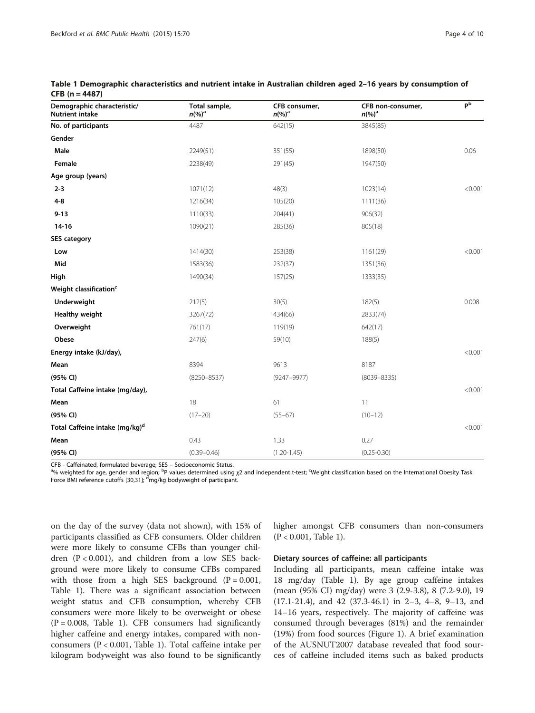| Demographic characteristic/<br><b>Nutrient intake</b> | Total sample,<br>$n\left(\%\right)^{a}$ | CFB consumer,<br>$n\left(\%\right)^{a}$ | CFB non-consumer,<br>$n\left(\%right)^{a}$ | P <sub>p</sub> |
|-------------------------------------------------------|-----------------------------------------|-----------------------------------------|--------------------------------------------|----------------|
| No. of participants                                   | 4487                                    | 642(15)                                 | 3845(85)                                   |                |
| Gender                                                |                                         |                                         |                                            |                |
| Male                                                  | 2249(51)                                | 351(55)                                 | 1898(50)                                   | 0.06           |
| Female                                                | 2238(49)                                | 291(45)                                 | 1947(50)                                   |                |
| Age group (years)                                     |                                         |                                         |                                            |                |
| $2 - 3$                                               | 1071(12)                                | 48(3)                                   | 1023(14)                                   | < 0.001        |
| $4 - 8$                                               | 1216(34)                                | 105(20)                                 | 1111(36)                                   |                |
| $9 - 13$                                              | 1110(33)                                | 204(41)                                 | 906(32)                                    |                |
| $14-16$                                               | 1090(21)                                | 285(36)                                 | 805(18)                                    |                |
| <b>SES category</b>                                   |                                         |                                         |                                            |                |
| Low                                                   | 1414(30)                                | 253(38)                                 | 1161(29)                                   | < 0.001        |
| Mid                                                   | 1583(36)                                | 232(37)                                 | 1351(36)                                   |                |
| High                                                  | 1490(34)                                | 157(25)                                 | 1333(35)                                   |                |
| Weight classification <sup>c</sup>                    |                                         |                                         |                                            |                |
| <b>Underweight</b>                                    | 212(5)                                  | 30(5)                                   | 182(5)                                     | 0.008          |
| <b>Healthy weight</b>                                 | 3267(72)                                | 434(66)                                 | 2833(74)                                   |                |
| Overweight                                            | 761(17)                                 | 119(19)                                 | 642(17)                                    |                |
| Obese                                                 | 247(6)                                  | 59(10)                                  | 188(5)                                     |                |
| Energy intake (kJ/day),                               |                                         |                                         |                                            | < 0.001        |
| Mean                                                  | 8394                                    | 9613                                    | 8187                                       |                |
| (95% CI)                                              | $(8250 - 8537)$                         | $(9247 - 9977)$                         | $(8039 - 8335)$                            |                |
| Total Caffeine intake (mg/day),                       |                                         |                                         |                                            | < 0.001        |
| Mean                                                  | 18                                      | 61                                      | 11                                         |                |
| (95% CI)                                              | $(17 - 20)$                             | $(55 - 67)$                             | $(10-12)$                                  |                |
| Total Caffeine intake (mg/kg) <sup>d</sup>            |                                         |                                         |                                            | < 0.001        |
| Mean                                                  | 0.43                                    | 1.33                                    | 0.27                                       |                |
| (95% CI)                                              | $(0.39 - 0.46)$                         | $(1.20 - 1.45)$                         | $(0.25 - 0.30)$                            |                |

<span id="page-3-0"></span>Table 1 Demographic characteristics and nutrient intake in Australian children aged 2–16 years by consumption of CFB (n = 4487)

CFB - Caffeinated, formulated beverage; SES - Socioeconomic Status.

% weighted for age, gender and region; <sup>b</sup>P values determined using <sub>X</sub>2 and independent t-test; <sup>c</sup>Weight classification based on the International Obesity Task Force BMI reference cutoffs [[30,31](#page-9-0)]; <sup>d</sup>mg/kg bodyweight of participant.

on the day of the survey (data not shown), with 15% of participants classified as CFB consumers. Older children were more likely to consume CFBs than younger children  $(P < 0.001)$ , and children from a low SES background were more likely to consume CFBs compared with those from a high SES background  $(P = 0.001,$ Table 1). There was a significant association between weight status and CFB consumption, whereby CFB consumers were more likely to be overweight or obese  $(P = 0.008,$  Table 1). CFB consumers had significantly higher caffeine and energy intakes, compared with nonconsumers (P < 0.001, Table 1). Total caffeine intake per kilogram bodyweight was also found to be significantly higher amongst CFB consumers than non-consumers (P < 0.001, Table 1).

## Dietary sources of caffeine: all participants

Including all participants, mean caffeine intake was 18 mg/day (Table 1). By age group caffeine intakes (mean (95% CI) mg/day) were 3 (2.9-3.8), 8 (7.2-9.0), 19 (17.1-21.4), and 42 (37.3-46.1) in 2–3, 4–8, 9–13, and 14–16 years, respectively. The majority of caffeine was consumed through beverages (81%) and the remainder (19%) from food sources (Figure [1](#page-4-0)). A brief examination of the AUSNUT2007 database revealed that food sources of caffeine included items such as baked products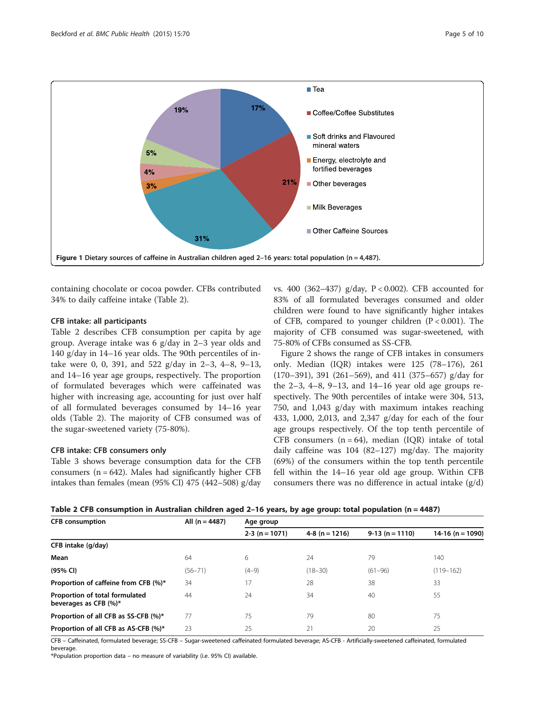<span id="page-4-0"></span>

containing chocolate or cocoa powder. CFBs contributed 34% to daily caffeine intake (Table 2).

## CFB intake: all participants

Table 2 describes CFB consumption per capita by age group. Average intake was 6 g/day in 2–3 year olds and 140 g/day in 14–16 year olds. The 90th percentiles of intake were 0, 0, 391, and 522 g/day in 2–3, 4–8, 9–13, and 14–16 year age groups, respectively. The proportion of formulated beverages which were caffeinated was higher with increasing age, accounting for just over half of all formulated beverages consumed by 14–16 year olds (Table 2). The majority of CFB consumed was of the sugar-sweetened variety (75-80%).

#### CFB intake: CFB consumers only

Table [3](#page-5-0) shows beverage consumption data for the CFB consumers  $(n = 642)$ . Males had significantly higher CFB intakes than females (mean (95% CI) 475 (442–508) g/day vs. 400 (362–437) g/day, P < 0.002). CFB accounted for 83% of all formulated beverages consumed and older children were found to have significantly higher intakes of CFB, compared to younger children  $(P < 0.001)$ . The majority of CFB consumed was sugar-sweetened, with 75-80% of CFBs consumed as SS-CFB.

Figure [2](#page-5-0) shows the range of CFB intakes in consumers only. Median (IQR) intakes were 125 (78–176), 261 (170–391), 391 (261–569), and 411 (375–657) g/day for the  $2-3$ ,  $4-8$ ,  $9-13$ , and  $14-16$  year old age groups respectively. The 90th percentiles of intake were 304, 513, 750, and 1,043 g/day with maximum intakes reaching 433, 1,000, 2,013, and 2,347 g/day for each of the four age groups respectively. Of the top tenth percentile of CFB consumers  $(n = 64)$ , median (IQR) intake of total daily caffeine was 104 (82–127) mg/day. The majority (69%) of the consumers within the top tenth percentile fell within the 14–16 year old age group. Within CFB consumers there was no difference in actual intake (g/d)

| Table 2 CFB consumption in Australian children aged 2–16 years, by age group: total population (n = 4487) |  |  |  |  |
|-----------------------------------------------------------------------------------------------------------|--|--|--|--|
|-----------------------------------------------------------------------------------------------------------|--|--|--|--|

| <b>CFB</b> consumption                                  | All $(n = 4487)$ | Age group       |                  |                   |                    |
|---------------------------------------------------------|------------------|-----------------|------------------|-------------------|--------------------|
|                                                         |                  | $2-3(n = 1071)$ | $4-8$ (n = 1216) | $9-13$ (n = 1110) | $14-16$ (n = 1090) |
| CFB intake (g/day)                                      |                  |                 |                  |                   |                    |
| Mean                                                    | 64               | 6               | 24               | 79                | 140                |
| (95% CI)                                                | $(56 - 71)$      | $(4-9)$         | $(18 - 30)$      | $(61 - 96)$       | $(119 - 162)$      |
| Proportion of caffeine from CFB (%)*                    | 34               | 17              | 28               | 38                | 33                 |
| Proportion of total formulated<br>beverages as CFB (%)* | 44               | 24              | 34               | 40                | 55                 |
| Proportion of all CFB as SS-CFB (%)*                    | 77               | 75              | 79               | 80                | 75                 |
| Proportion of all CFB as AS-CFB (%)*                    | 23               | 25              | 21               | 20                | 25                 |

CFB – Caffeinated, formulated beverage; SS-CFB – Sugar-sweetened caffeinated formulated beverage; AS-CFB - Artificially-sweetened caffeinated, formulated beverage.

\*Population proportion data – no measure of variability (i.e. 95% CI) available.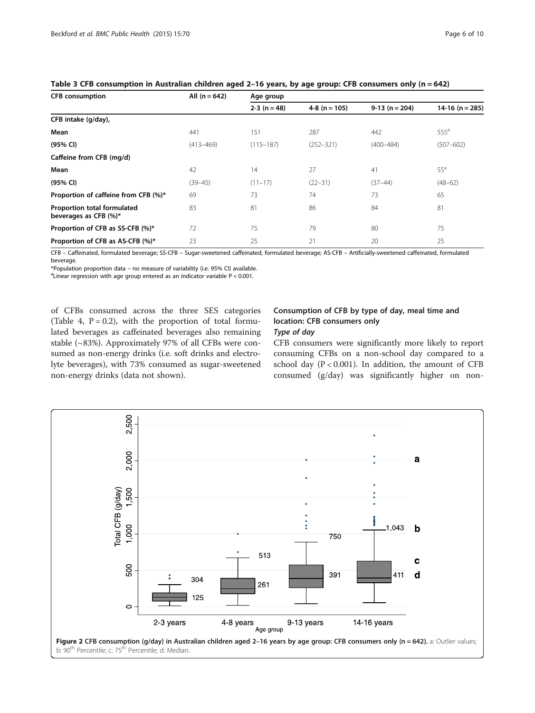| <b>CFB</b> consumption                                      | All $(n = 642)$ | Age group      |                 |                  |                 |
|-------------------------------------------------------------|-----------------|----------------|-----------------|------------------|-----------------|
|                                                             |                 | $2-3$ (n = 48) | $4-8$ (n = 105) | $9-13$ (n = 204) | 14-16 (n = 285) |
| CFB intake (g/day),                                         |                 |                |                 |                  |                 |
| Mean                                                        | 441             | 151            | 287             | 442              | $555^{\circ}$   |
| (95% CI)                                                    | $(413 - 469)$   | $(115 - 187)$  | $(252 - 321)$   | $(400 - 484)$    | $(507 - 602)$   |
| Caffeine from CFB (mg/d)                                    |                 |                |                 |                  |                 |
| Mean                                                        | 42              | 14             | 27              | 41               | 55 <sup>a</sup> |
| (95% CI)                                                    | $(39 - 45)$     | $(11 - 17)$    | $(22 - 31)$     | $(37-44)$        | $(48-62)$       |
| Proportion of caffeine from CFB (%)*                        | 69              | 73             | 74              | 73               | 65              |
| <b>Proportion total formulated</b><br>beverages as CFB (%)* | 83              | 81             | 86              | 84               | 81              |
| Proportion of CFB as SS-CFB (%)*                            | 72              | 75             | 79              | 80               | 75              |
| Proportion of CFB as AS-CFB (%)*                            | 23              | 25             | 21              | 20               | 25              |

<span id="page-5-0"></span>

| Table 3 CFB consumption in Australian children aged 2–16 years, by age group: CFB consumers only (n = 642) |  |  |  |
|------------------------------------------------------------------------------------------------------------|--|--|--|
|------------------------------------------------------------------------------------------------------------|--|--|--|

CFB – Caffeinated, formulated beverage; SS-CFB – Sugar-sweetened caffeinated, formulated beverage; AS-CFB – Artificially-sweetened caffeinated, formulated beverage.

\*Population proportion data – no measure of variability (i.e. 95% CI) available. <sup>a</sup>

 $a$ Linear regression with age group entered as an indicator variable  $P < 0.001$ .

of CFBs consumed across the three SES categories (Table [4,](#page-6-0)  $P = 0.2$ ), with the proportion of total formulated beverages as caffeinated beverages also remaining stable (~83%). Approximately 97% of all CFBs were consumed as non-energy drinks (i.e. soft drinks and electrolyte beverages), with 73% consumed as sugar-sweetened non-energy drinks (data not shown).

## Consumption of CFB by type of day, meal time and location: CFB consumers only

## Type of day

CFB consumers were significantly more likely to report consuming CFBs on a non-school day compared to a school day ( $P < 0.001$ ). In addition, the amount of CFB consumed (g/day) was significantly higher on non-

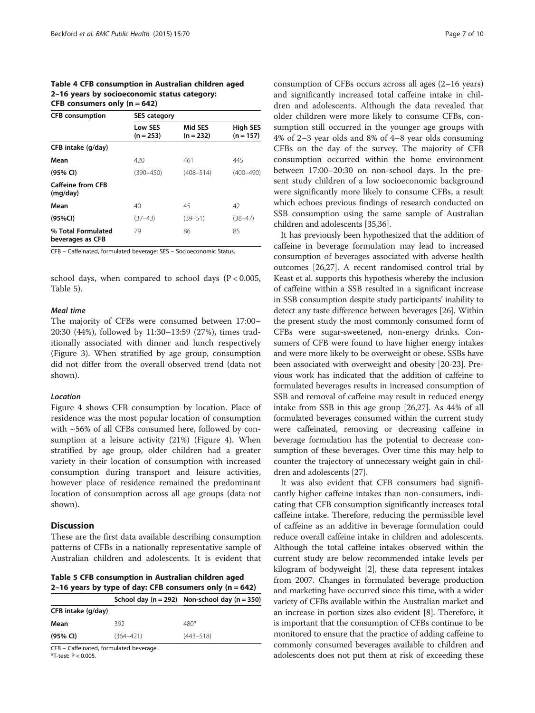<span id="page-6-0"></span>Table 4 CFB consumption in Australian children aged 2–16 years by socioeconomic status category: CFB consumers only  $(n = 642)$ 

| <b>CFB</b> consumption                 | <b>SES category</b>    |                        |                                |  |  |
|----------------------------------------|------------------------|------------------------|--------------------------------|--|--|
|                                        | Low SES<br>$(n = 253)$ | Mid SES<br>$(n = 232)$ | <b>High SES</b><br>$(n = 157)$ |  |  |
| CFB intake (g/day)                     |                        |                        |                                |  |  |
| Mean                                   | 420                    | 461                    | 445                            |  |  |
| (95% CI)                               | $(390 - 450)$          | $(408 - 514)$          | $(400 - 490)$                  |  |  |
| <b>Caffeine from CFB</b><br>(mq/day)   |                        |                        |                                |  |  |
| Mean                                   | 40                     | 45                     | 42                             |  |  |
| (95%CI)                                | $(37-43)$              | $(39 - 51)$            | $(38 - 47)$                    |  |  |
| % Total Formulated<br>beverages as CFB | 79                     | 86                     | 85                             |  |  |

CFB – Caffeinated, formulated beverage; SES – Socioeconomic Status.

school days, when compared to school days ( $P < 0.005$ , Table 5).

## Meal time

The majority of CFBs were consumed between 17:00– 20:30 (44%), followed by 11:30–13:59 (27%), times traditionally associated with dinner and lunch respectively (Figure [3\)](#page-7-0). When stratified by age group, consumption did not differ from the overall observed trend (data not shown).

#### Location

Figure [4](#page-7-0) shows CFB consumption by location. Place of residence was the most popular location of consumption with ~56% of all CFBs consumed here, followed by consumption at a leisure activity (21%) (Figure [4](#page-7-0)). When stratified by age group, older children had a greater variety in their location of consumption with increased consumption during transport and leisure activities, however place of residence remained the predominant location of consumption across all age groups (data not shown).

## **Discussion**

These are the first data available describing consumption patterns of CFBs in a nationally representative sample of Australian children and adolescents. It is evident that

Table 5 CFB consumption in Australian children aged 2–16 years by type of day: CFB consumers only  $(n = 642)$ 

|                                         |               | School day $(n = 292)$ Non-school day $(n = 350)$ |  |
|-----------------------------------------|---------------|---------------------------------------------------|--|
| CFB intake (g/day)                      |               |                                                   |  |
| Mean                                    | 392           | $480*$                                            |  |
| (95% CI)                                | $(364 - 421)$ | $(443 - 518)$                                     |  |
| CFB - Caffeinated, formulated beverage. |               |                                                   |  |

\*T-test: P < 0.005.

consumption of CFBs occurs across all ages (2–16 years) and significantly increased total caffeine intake in children and adolescents. Although the data revealed that older children were more likely to consume CFBs, consumption still occurred in the younger age groups with 4% of 2–3 year olds and 8% of 4–8 year olds consuming CFBs on the day of the survey. The majority of CFB consumption occurred within the home environment between 17:00–20:30 on non-school days. In the present study children of a low socioeconomic background were significantly more likely to consume CFBs, a result which echoes previous findings of research conducted on SSB consumption using the same sample of Australian children and adolescents [\[35,36](#page-9-0)].

It has previously been hypothesized that the addition of caffeine in beverage formulation may lead to increased consumption of beverages associated with adverse health outcomes [\[26,27\]](#page-9-0). A recent randomised control trial by Keast et al. supports this hypothesis whereby the inclusion of caffeine within a SSB resulted in a significant increase in SSB consumption despite study participants' inability to detect any taste difference between beverages [\[26](#page-9-0)]. Within the present study the most commonly consumed form of CFBs were sugar-sweetened, non-energy drinks. Consumers of CFB were found to have higher energy intakes and were more likely to be overweight or obese. SSBs have been associated with overweight and obesity [[20](#page-8-0)-[23](#page-9-0)]. Previous work has indicated that the addition of caffeine to formulated beverages results in increased consumption of SSB and removal of caffeine may result in reduced energy intake from SSB in this age group [[26,27](#page-9-0)]. As 44% of all formulated beverages consumed within the current study were caffeinated, removing or decreasing caffeine in beverage formulation has the potential to decrease consumption of these beverages. Over time this may help to counter the trajectory of unnecessary weight gain in children and adolescents [[27](#page-9-0)].

It was also evident that CFB consumers had significantly higher caffeine intakes than non-consumers, indicating that CFB consumption significantly increases total caffeine intake. Therefore, reducing the permissible level of caffeine as an additive in beverage formulation could reduce overall caffeine intake in children and adolescents. Although the total caffeine intakes observed within the current study are below recommended intake levels per kilogram of bodyweight [\[2](#page-8-0)], these data represent intakes from 2007. Changes in formulated beverage production and marketing have occurred since this time, with a wider variety of CFBs available within the Australian market and an increase in portion sizes also evident [[8](#page-8-0)]. Therefore, it is important that the consumption of CFBs continue to be monitored to ensure that the practice of adding caffeine to commonly consumed beverages available to children and adolescents does not put them at risk of exceeding these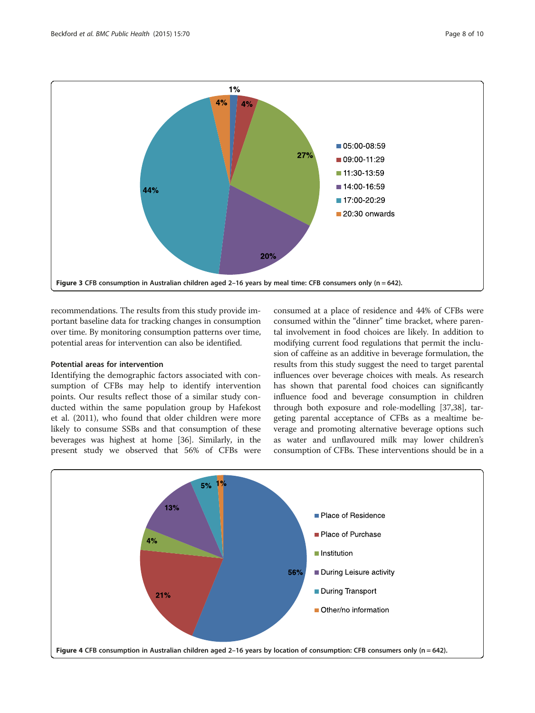<span id="page-7-0"></span>

recommendations. The results from this study provide important baseline data for tracking changes in consumption over time. By monitoring consumption patterns over time, potential areas for intervention can also be identified.

## Potential areas for intervention

Identifying the demographic factors associated with consumption of CFBs may help to identify intervention points. Our results reflect those of a similar study conducted within the same population group by Hafekost et al. (2011), who found that older children were more likely to consume SSBs and that consumption of these beverages was highest at home [[36](#page-9-0)]. Similarly, in the present study we observed that 56% of CFBs were

consumed at a place of residence and 44% of CFBs were consumed within the "dinner" time bracket, where parental involvement in food choices are likely. In addition to modifying current food regulations that permit the inclusion of caffeine as an additive in beverage formulation, the results from this study suggest the need to target parental influences over beverage choices with meals. As research has shown that parental food choices can significantly influence food and beverage consumption in children through both exposure and role-modelling [[37,38](#page-9-0)], targeting parental acceptance of CFBs as a mealtime beverage and promoting alternative beverage options such as water and unflavoured milk may lower children's consumption of CFBs. These interventions should be in a

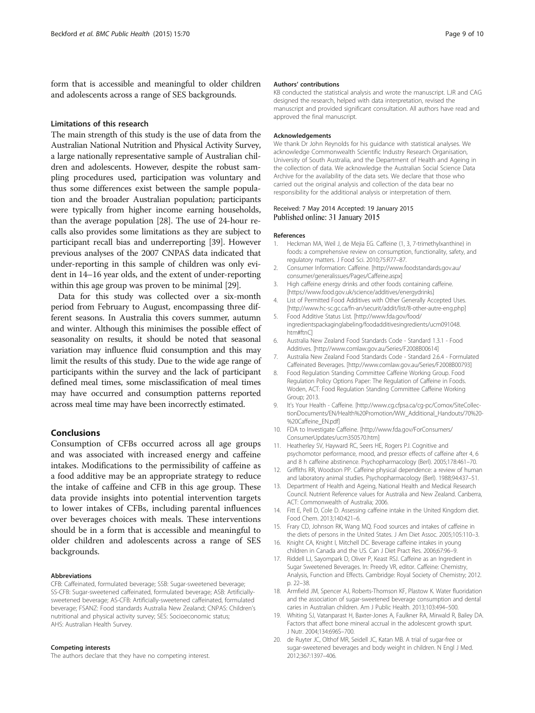<span id="page-8-0"></span>form that is accessible and meaningful to older children and adolescents across a range of SES backgrounds.

## Limitations of this research

The main strength of this study is the use of data from the Australian National Nutrition and Physical Activity Survey, a large nationally representative sample of Australian children and adolescents. However, despite the robust sampling procedures used, participation was voluntary and thus some differences exist between the sample population and the broader Australian population; participants were typically from higher income earning households, than the average population [\[28](#page-9-0)]. The use of 24-hour recalls also provides some limitations as they are subject to participant recall bias and underreporting [[39](#page-9-0)]. However previous analyses of the 2007 CNPAS data indicated that under-reporting in this sample of children was only evident in 14–16 year olds, and the extent of under-reporting within this age group was proven to be minimal [\[29](#page-9-0)].

Data for this study was collected over a six-month period from February to August, encompassing three different seasons. In Australia this covers summer, autumn and winter. Although this minimises the possible effect of seasonality on results, it should be noted that seasonal variation may influence fluid consumption and this may limit the results of this study. Due to the wide age range of participants within the survey and the lack of participant defined meal times, some misclassification of meal times may have occurred and consumption patterns reported across meal time may have been incorrectly estimated.

## Conclusions

Consumption of CFBs occurred across all age groups and was associated with increased energy and caffeine intakes. Modifications to the permissibility of caffeine as a food additive may be an appropriate strategy to reduce the intake of caffeine and CFB in this age group. These data provide insights into potential intervention targets to lower intakes of CFBs, including parental influences over beverages choices with meals. These interventions should be in a form that is accessible and meaningful to older children and adolescents across a range of SES backgrounds.

#### Abbreviations

CFB: Caffeinated, formulated beverage; SSB: Sugar-sweetened beverage; SS-CFB: Sugar-sweetened caffeinated, formulated beverage; ASB: Artificiallysweetened beverage; AS-CFB: Artificially-sweetened caffeinated, formulated beverage; FSANZ: Food standards Australia New Zealand; CNPAS: Children's nutritional and physical activity survey; SES: Socioeconomic status; AHS: Australian Health Survey.

#### Competing interests

The authors declare that they have no competing interest.

#### Authors' contributions

KB conducted the statistical analysis and wrote the manuscript. LJR and CAG designed the research, helped with data interpretation, revised the manuscript and provided significant consultation. All authors have read and approved the final manuscript.

#### Acknowledgements

We thank Dr John Reynolds for his guidance with statistical analyses. We acknowledge Commonwealth Scientific Industry Research Organisation, University of South Australia, and the Department of Health and Ageing in the collection of data. We acknowledge the Australian Social Science Data Archive for the availability of the data sets. We declare that those who carried out the original analysis and collection of the data bear no responsibility for the additional analysis or interpretation of them.

#### Received: 7 May 2014 Accepted: 19 January 2015 Published online: 31 January 2015

#### References

- 1. Heckman MA, Weil J, de Mejia EG. Caffeine (1, 3, 7-trimethylxanthine) in foods: a comprehensive review on consumption, functionality, safety, and regulatory matters. J Food Sci. 2010;75:R77–87.
- 2. Consumer Information: Caffeine. [[http://www.foodstandards.gov.au/](http://www.foodstandards.gov.au/consumer/generalissues/Pages/Caffeine.aspx) [consumer/generalissues/Pages/Caffeine.aspx](http://www.foodstandards.gov.au/consumer/generalissues/Pages/Caffeine.aspx)]
- 3. High caffeine energy drinks and other foods containing caffeine. [[https://www.food.gov.uk/science/additives/energydrinks\]](https://www.food.gov.uk/science/additives/energydrinks)
- 4. List of Permitted Food Additives with Other Generally Accepted Uses. [<http://www.hc-sc.gc.ca/fn-an/securit/addit/list/8-other-autre-eng.php>]
- 5. Food Additive Status List. [\[http://www.fda.gov/food/](http://www.fda.gov/food/ingredientspackaginglabeling/foodadditivesingredients/ucm091048.htm#ftnC) [ingredientspackaginglabeling/foodadditivesingredients/ucm091048.](http://www.fda.gov/food/ingredientspackaginglabeling/foodadditivesingredients/ucm091048.htm#ftnC) [htm#ftnC\]](http://www.fda.gov/food/ingredientspackaginglabeling/foodadditivesingredients/ucm091048.htm#ftnC)
- 6. Australia New Zealand Food Standards Code Standard 1.3.1 Food Additives. [\[http://www.comlaw.gov.au/Series/F2008B00614\]](http://www.comlaw.gov.au/Series/F2008B00614)
- 7. Australia New Zealand Food Standards Code Standard 2.6.4 Formulated Caffeinated Beverages. [[http://www.comlaw.gov.au/Series/F2008B00793\]](http://www.comlaw.gov.au/Series/F2008B00793)
- 8. Food Regulation Standing Committee Caffeine Working Group. Food Regulation Policy Options Paper: The Regulation of Caffeine in Foods. Woden, ACT: Food Regulation Standing Committee Caffeine Working Group; 2013.
- 9. It's Your Health Caffeine. [[http://www.cg.cfpsa.ca/cg-pc/Comox/SiteCollec](http://www.cg.cfpsa.ca/cg-pc/Comox/SiteCollectionDocuments/EN/Health%20Promotion/WW_Additional_Handouts/70%20-%20Caffeine_EN.pdf)[tionDocuments/EN/Health%20Promotion/WW\\_Additional\\_Handouts/70%20-](http://www.cg.cfpsa.ca/cg-pc/Comox/SiteCollectionDocuments/EN/Health%20Promotion/WW_Additional_Handouts/70%20-%20Caffeine_EN.pdf) %20Caffeine\_FN.pdfl
- 10. FDA to Investigate Caffeine. [[http://www.fda.gov/ForConsumers/](http://www.fda.gov/ForConsumers/ConsumerUpdates/ucm350570.htm) [ConsumerUpdates/ucm350570.htm\]](http://www.fda.gov/ForConsumers/ConsumerUpdates/ucm350570.htm)
- 11. Heatherley SV, Hayward RC, Seers HE, Rogers PJ. Cognitive and psychomotor performance, mood, and pressor effects of caffeine after 4, 6 and 8 h caffeine abstinence. Psychopharmacology (Berl). 2005;178:461–70.
- 12. Griffiths RR, Woodson PP. Caffeine physical dependence: a review of human and laboratory animal studies. Psychopharmacology (Berl). 1988;94:437–51.
- 13. Department of Health and Ageing, National Health and Medical Research Council. Nutrient Reference values for Australia and New Zealand. Canberra, ACT: Commonwealth of Australia; 2006.
- 14. Fitt E, Pell D, Cole D. Assessing caffeine intake in the United Kingdom diet. Food Chem. 2013;140:421–6.
- 15. Frary CD, Johnson RK, Wang MQ. Food sources and intakes of caffeine in the diets of persons in the United States. J Am Diet Assoc. 2005;105:110–3.
- 16. Knight CA, Knight I, Mitchell DC. Beverage caffeine intakes in young children in Canada and the US. Can J Diet Pract Res. 2006;67:96–9.
- 17. Riddell LJ, Sayompark D, Oliver P, Keast RSJ. Caffeine as an Ingredient in Sugar Sweetened Beverages. In: Preedy VR, editor. Caffeine: Chemistry, Analysis, Function and Effects. Cambridge: Royal Society of Chemistry; 2012. p. 22–38.
- 18. Armfield JM, Spencer AJ, Roberts-Thomson KF, Plastow K. Water fluoridation and the association of sugar-sweetened beverage consumption and dental caries in Australian children. Am J Public Health. 2013;103:494–500.
- 19. Whiting SJ, Vatanparast H, Baxter-Jones A, Faulkner RA, Mirwald R, Bailey DA. Factors that affect bone mineral accrual in the adolescent growth spurt. J Nutr. 2004;134:696S–700.
- 20. de Ruyter JC, Olthof MR, Seidell JC, Katan MB. A trial of sugar-free or sugar-sweetened beverages and body weight in children. N Engl J Med. 2012;367:1397–406.